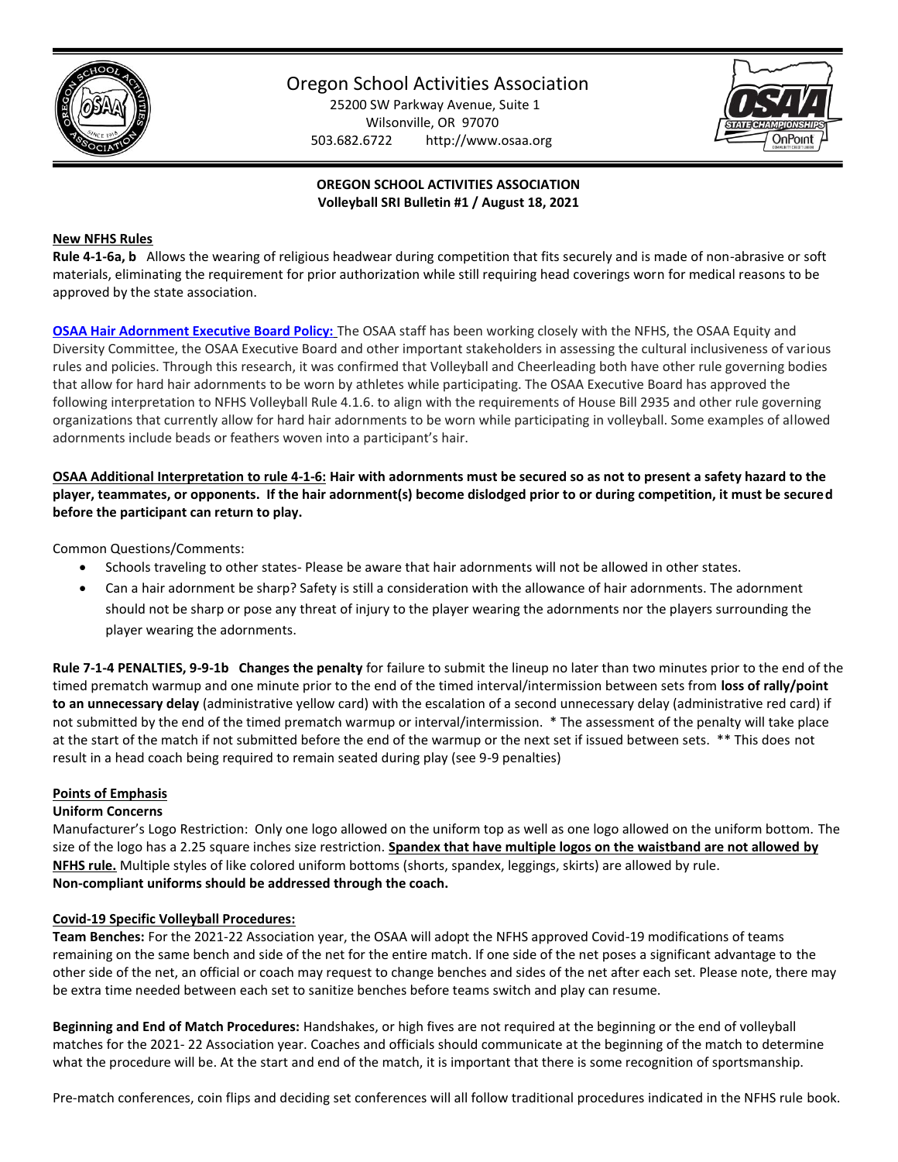

# Oregon School Activities Association

25200 SW Parkway Avenue, Suite 1 Wilsonville, OR 97070 503.682.6722 http://www.osaa.org



# **OREGON SCHOOL ACTIVITIES ASSOCIATION Volleyball SRI Bulletin #1 / August 18, 2021**

## **New NFHS Rules**

**Rule 4-1-6a, b** Allows the wearing of religious headwear during competition that fits securely and is made of non-abrasive or soft materials, eliminating the requirement for prior authorization while still requiring head coverings worn for medical reasons to be approved by the state association.

**[OSAA Hair Adornment Executive Board Policy:](https://www.osaa.org/docs/handbooks/HairAdornmentBP.pdf)** The OSAA staff has been working closely with the NFHS, the OSAA Equity and Diversity Committee, the OSAA Executive Board and other important stakeholders in assessing the cultural inclusiveness of various rules and policies. Through this research, it was confirmed that Volleyball and Cheerleading both have other rule governing bodies that allow for hard hair adornments to be worn by athletes while participating. The OSAA Executive Board has approved the following interpretation to NFHS Volleyball Rule 4.1.6. to align with the requirements of House Bill 2935 and other rule governing organizations that currently allow for hard hair adornments to be worn while participating in volleyball. Some examples of allowed adornments include beads or feathers woven into a participant's hair.

**OSAA Additional Interpretation to rule 4-1-6: Hair with adornments must be secured so as not to present a safety hazard to the player, teammates, or opponents. If the hair adornment(s) become dislodged prior to or during competition, it must be secured before the participant can return to play.** 

Common Questions/Comments:

- Schools traveling to other states- Please be aware that hair adornments will not be allowed in other states.
- Can a hair adornment be sharp? Safety is still a consideration with the allowance of hair adornments. The adornment should not be sharp or pose any threat of injury to the player wearing the adornments nor the players surrounding the player wearing the adornments.

**Rule 7-1-4 PENALTIES, 9-9-1b Changes the penalty** for failure to submit the lineup no later than two minutes prior to the end of the timed prematch warmup and one minute prior to the end of the timed interval/intermission between sets from **loss of rally/point to an unnecessary delay** (administrative yellow card) with the escalation of a second unnecessary delay (administrative red card) if not submitted by the end of the timed prematch warmup or interval/intermission. \* The assessment of the penalty will take place at the start of the match if not submitted before the end of the warmup or the next set if issued between sets. \*\* This does not result in a head coach being required to remain seated during play (see 9-9 penalties)

#### **Points of Emphasis**

#### **Uniform Concerns**

Manufacturer's Logo Restriction: Only one logo allowed on the uniform top as well as one logo allowed on the uniform bottom. The size of the logo has a 2.25 square inches size restriction. **Spandex that have multiple logos on the waistband are not allowed by NFHS rule.** Multiple styles of like colored uniform bottoms (shorts, spandex, leggings, skirts) are allowed by rule. **Non-compliant uniforms should be addressed through the coach.** 

#### **Covid-19 Specific Volleyball Procedures:**

**Team Benches:** For the 2021-22 Association year, the OSAA will adopt the NFHS approved Covid-19 modifications of teams remaining on the same bench and side of the net for the entire match. If one side of the net poses a significant advantage to the other side of the net, an official or coach may request to change benches and sides of the net after each set. Please note, there may be extra time needed between each set to sanitize benches before teams switch and play can resume.

**Beginning and End of Match Procedures:** Handshakes, or high fives are not required at the beginning or the end of volleyball matches for the 2021- 22 Association year. Coaches and officials should communicate at the beginning of the match to determine what the procedure will be. At the start and end of the match, it is important that there is some recognition of sportsmanship.

Pre-match conferences, coin flips and deciding set conferences will all follow traditional procedures indicated in the NFHS rule book.